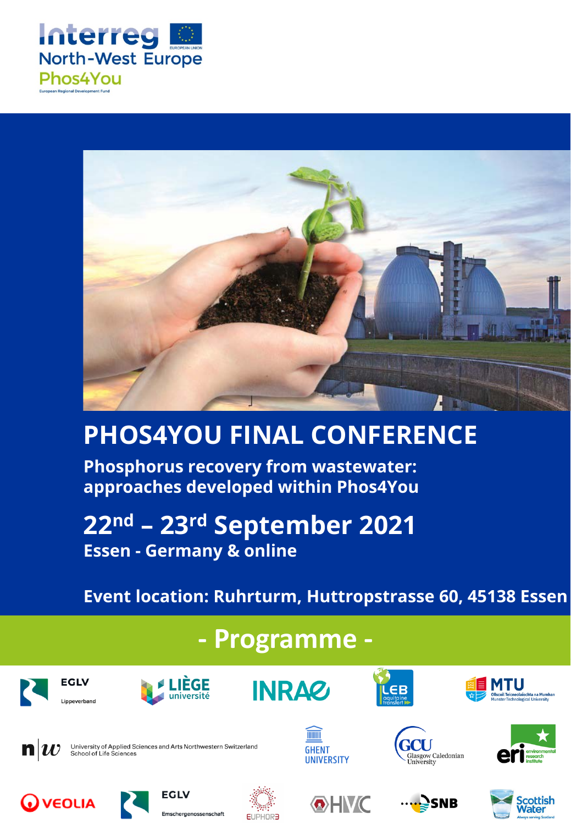



# **PHOS4YOU FINAL CONFERENCE**

**Phosphorus recovery from wastewater: approaches developed within Phos4You** 

## **22nd – 23rd September 2021 Essen - Germany & online**

Emschergenossenschaft

## **Event location: Ruhrturm, Huttropstrasse 60, 45138 Essen**

**Nater** 

## **- Programme -**



**EUPHOR**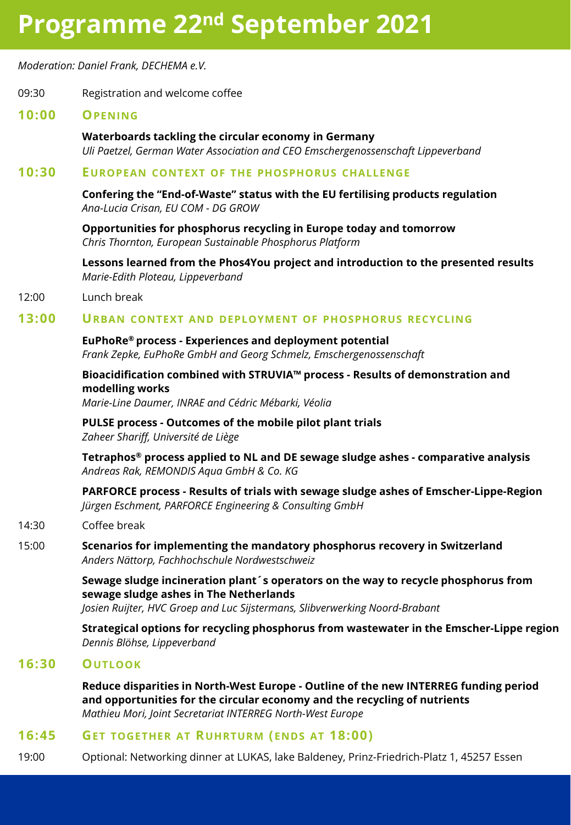## **Programme 22nd September 2021**

*Moderation: Daniel Frank, DECHEMA e.V.*

### 09:30 Registration and welcome coffee

### **10:00 OPENING**

**Waterboards tackling the circular economy in Germany** *Uli Paetzel, German Water Association and CEO Emschergenossenschaft Lippeverband*

### **10:30 EUROPEAN CONTEXT OF THE PHOSPHORUS CHALLENGE**

**Confering the "End-of-Waste" status with the EU fertilising products regulation** *Ana-Lucia Crisan, EU COM - DG GROW*

**Opportunities for phosphorus recycling in Europe today and tomorrow** *Chris Thornton, European Sustainable Phosphorus Platform*

**Lessons learned from the Phos4You project and introduction to the presented results** *Marie-Edith Ploteau, Lippeverband*

### 12:00 Lunch break

### **13:00 URBAN CONTEXT AND DEPLOYMENT OF PHOSPHORUS RECYCLING**

**EuPhoRe® process - Experiences and deployment potential** *Frank Zepke, EuPhoRe GmbH and Georg Schmelz, Emschergenossenschaft*

**Bioacidification combined with STRUVIA™ process - Results of demonstration and modelling works** 

*Marie-Line Daumer, INRAE and Cédric Mébarki, Véolia*

**PULSE process - Outcomes of the mobile pilot plant trials** *Zaheer Shariff, Université de Liège*

**Tetraphos® process applied to NL and DE sewage sludge ashes - comparative analysis** *Andreas Rak, REMONDIS Aqua GmbH & Co. KG*

**PARFORCE process - Results of trials with sewage sludge ashes of Emscher-Lippe-Region** *Jürgen Eschment, PARFORCE Engineering & Consulting GmbH*

### 14:30 Coffee break

15:00 **Scenarios for implementing the mandatory phosphorus recovery in Switzerland** *Anders Nättorp, Fachhochschule Nordwestschweiz*

> **Sewage sludge incineration plant´s operators on the way to recycle phosphorus from sewage sludge ashes in The Netherlands**

*Josien Ruijter, HVC Groep and Luc Sijstermans, Slibverwerking Noord-Brabant* 

**Strategical options for recycling phosphorus from wastewater in the Emscher-Lippe region** *Dennis Blöhse, Lippeverband*

## **16:30 OUTLOOK**

**Reduce disparities in North-West Europe - Outline of the new INTERREG funding period and opportunities for the circular economy and the recycling of nutrients** *Mathieu Mori, Joint Secretariat INTERREG North-West Europe*

## **16:45 GET TOGETHER AT RUHRTURM (ENDS AT 18:00)**

19:00 Optional: Networking dinner at LUKAS, lake Baldeney, Prinz-Friedrich-Platz 1, 45257 Essen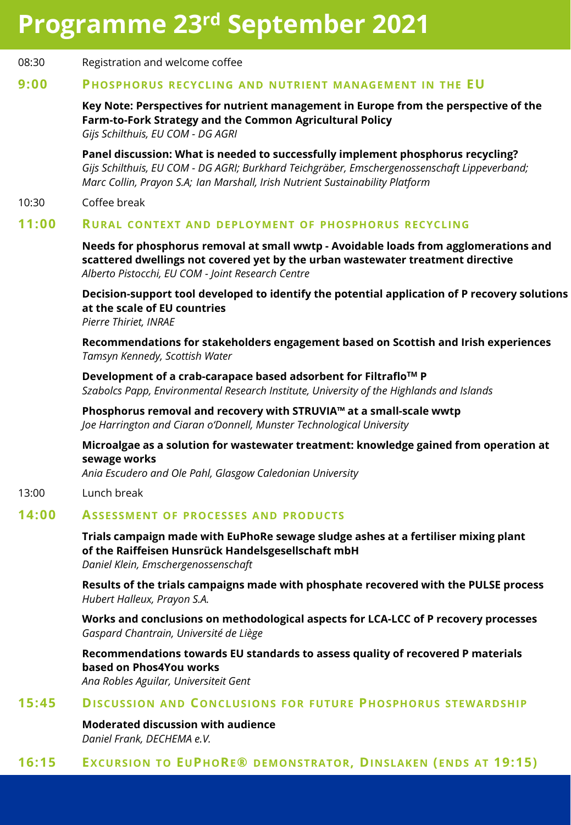## **Programme 23rd September 2021**

#### 08:30 Registration and welcome coffee

#### **9:00 PHOSPHORUS RECYCLING AND NUTRIENT MANAGEMENT IN THE EU**

**Key Note: Perspectives for nutrient management in Europe from the perspective of the Farm-to-Fork Strategy and the Common Agricultural Policy** *Gijs Schilthuis, EU COM - DG AGRI* 

**Panel discussion: What is needed to successfully implement phosphorus recycling?**  *Gijs Schilthuis, EU COM - DG AGRI; Burkhard Teichgräber, Emschergenossenschaft Lippeverband; Marc Collin, Prayon S.A; Ian Marshall, Irish Nutrient Sustainability Platform*

#### 10:30 Coffee break

#### **11:00 RURAL CONTEXT AND DEPLOYMENT OF PHOSPHORUS RECYCLING**

**Needs for phosphorus removal at small wwtp - Avoidable loads from agglomerations and scattered dwellings not covered yet by the urban wastewater treatment directive** *Alberto Pistocchi, EU COM - Joint Research Centre*

**Decision-support tool developed to identify the potential application of P recovery solutions at the scale of EU countries** *Pierre Thiriet, INRAE* 

**Recommendations for stakeholders engagement based on Scottish and Irish experiences** *Tamsyn Kennedy, Scottish Water*

**Development of a crab-carapace based adsorbent for FiltrafloTM P** *Szabolcs Papp, Environmental Research Institute, University of the Highlands and Islands*

**Phosphorus removal and recovery with STRUVIA™ at a small-scale wwtp** *Joe Harrington and Ciaran o'Donnell, Munster Technological University*

**Microalgae as a solution for wastewater treatment: knowledge gained from operation at sewage works**

*Ania Escudero and Ole Pahl, Glasgow Caledonian University*

#### 13:00 Lunch break

#### **14:00 ASSESSMENT OF PROCESSES AND PRODUCTS**

**Trials campaign made with EuPhoRe sewage sludge ashes at a fertiliser mixing plant of the Raiffeisen Hunsrück Handelsgesellschaft mbH** *Daniel Klein, Emschergenossenschaft*

**Results of the trials campaigns made with phosphate recovered with the PULSE process** *Hubert Halleux, Prayon S.A.*

**Works and conclusions on methodological aspects for LCA-LCC of P recovery processes** *Gaspard Chantrain, Université de Liège*

**Recommendations towards EU standards to assess quality of recovered P materials based on Phos4You works**

*Ana Robles Aguilar, Universiteit Gent*

#### **15:45 DISCUSSION AND CONCLUSIONS FOR FUTURE PHOSPHORUS STEWARDSHIP**

**Moderated discussion with audience** *Daniel Frank, DECHEMA e.V.*

#### **16:15 EXCURSION TO EUPHORE® DEMONSTRATOR, DINSLAKEN (ENDS AT 19:15)**